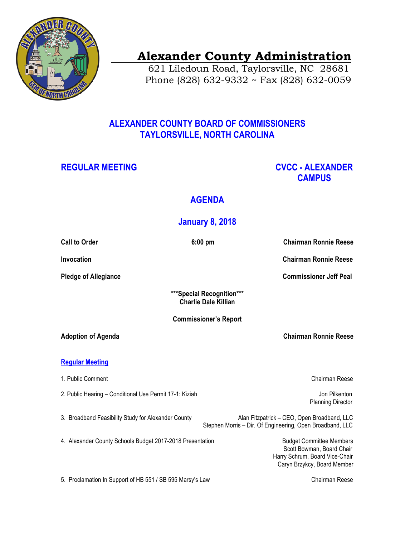

# **Alexander County Administration**

 621 Liledoun Road, Taylorsville, NC 28681 Phone (828) 632-9332 ~ Fax (828) 632-0059

## **ALEXANDER COUNTY BOARD OF COMMISSIONERS TAYLORSVILLE, NORTH CAROLINA**

## **REGULAR MEETING CVCC - ALEXANDER CAMPUS**

## **AGENDA**

## **January 8, 2018**

| <b>Call to Order</b>                                      | $6:00$ pm<br><b>Chairman Ronnie Reese</b>                                                                                     |
|-----------------------------------------------------------|-------------------------------------------------------------------------------------------------------------------------------|
| Invocation                                                | <b>Chairman Ronnie Reese</b>                                                                                                  |
| <b>Pledge of Allegiance</b>                               | <b>Commissioner Jeff Peal</b>                                                                                                 |
|                                                           | ***Special Recognition***<br><b>Charlie Dale Killian</b>                                                                      |
| <b>Commissioner's Report</b>                              |                                                                                                                               |
| <b>Adoption of Agenda</b>                                 | <b>Chairman Ronnie Reese</b>                                                                                                  |
| <b>Regular Meeting</b>                                    |                                                                                                                               |
| 1. Public Comment                                         | Chairman Reese                                                                                                                |
| 2. Public Hearing - Conditional Use Permit 17-1: Kiziah   | Jon Pilkenton<br><b>Planning Director</b>                                                                                     |
| 3. Broadband Feasibility Study for Alexander County       | Alan Fitzpatrick - CEO, Open Broadband, LLC<br>Stephen Morris - Dir. Of Engineering, Open Broadband, LLC                      |
| 4. Alexander County Schools Budget 2017-2018 Presentation | <b>Budget Committee Members</b><br>Scott Bowman, Board Chair<br>Harry Schrum, Board Vice-Chair<br>Caryn Brzykcy, Board Member |
| 5. Proclamation In Support of HB 551 / SB 595 Marsy's Law | <b>Chairman Reese</b>                                                                                                         |